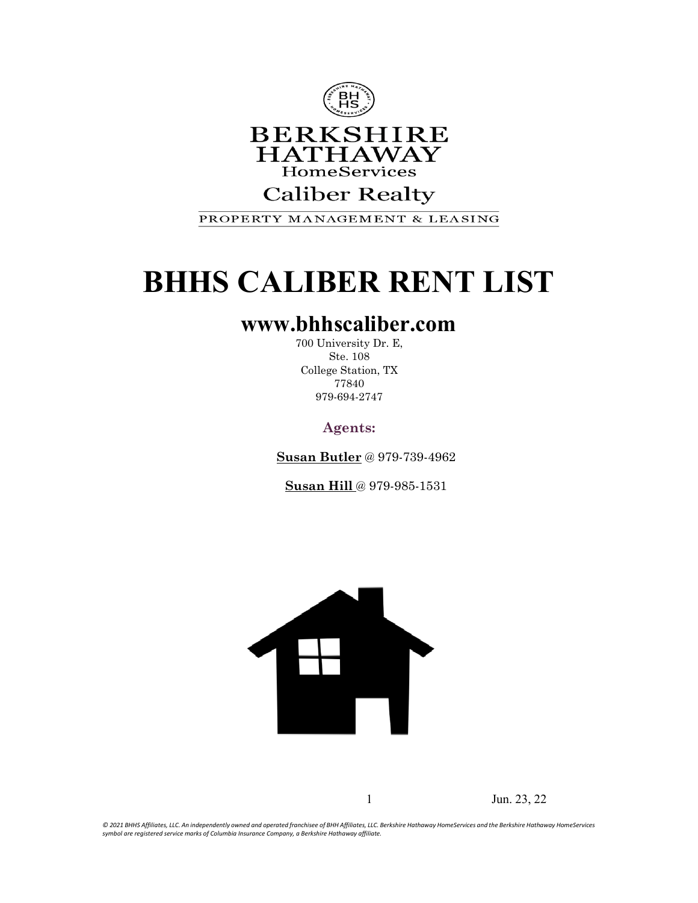

#### **Caliber Realty**

PROPERTY MANAGEMENT & LEASING

### **BHHS CALIBER RENT LIST**

#### **[www.bhhscaliber.com](http://www.bhhscaliber.com/)**

700 University Dr. E, Ste. 108 College Station, TX 77840 979-694-2747

**Agents:**

**Susan Butler** @ 979-739-4962

**Susan Hill** @ 979-985-1531



1 Jun. 23, 22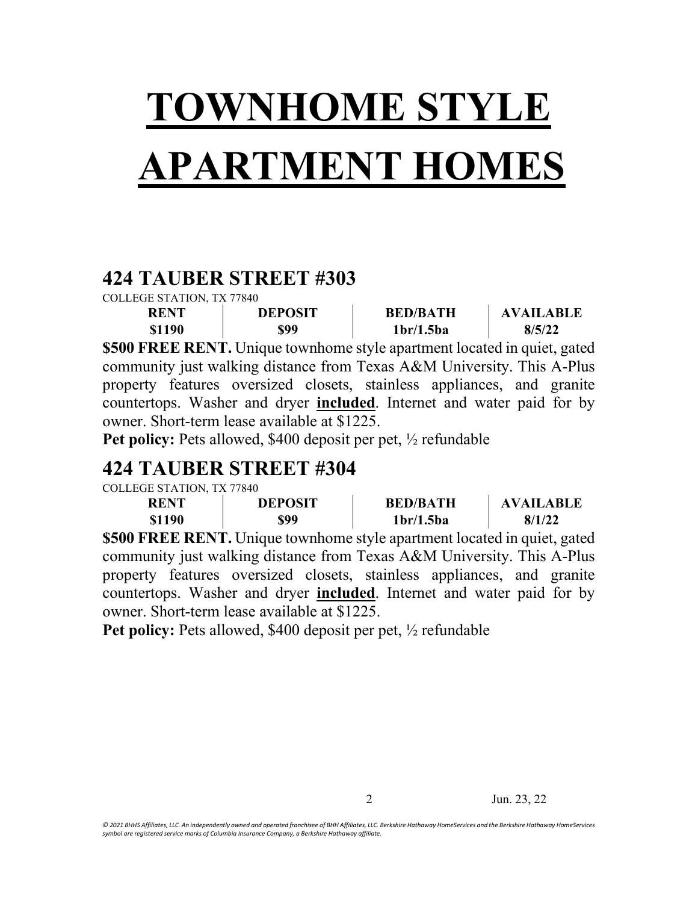# **TOWNHOME STYLE APARTMENT HOMES**

#### **424 TAUBER STREET #303**

COLLEGE STATION, TX 77840 **RENT \$1190 DEPOSIT \$99 BED/BATH 1br/1.5ba AVAILABLE 8/5/22 \$500 FREE RENT.** Unique townhome style apartment located in quiet, gated community just walking distance from Texas A&M University. This A-Plus property features oversized closets, stainless appliances, and granite countertops. Washer and dryer **included**. Internet and water paid for by owner. Short-term lease available at \$1225.

**Pet policy:** Pets allowed, \$400 deposit per pet, ½ refundable

#### **424 TAUBER STREET #304**

COLLEGE STATION, TX 77840

| <b>RENT</b> | <b>DEPOSIT</b> | <b>BED/BATH</b>                    | <b>AVAILABLE</b> |
|-------------|----------------|------------------------------------|------------------|
| \$1190      | \$99           | 1 <sub>br</sub> /1.5 <sub>ba</sub> | 8/1/22           |

**\$500 FREE RENT.** Unique townhome style apartment located in quiet, gated community just walking distance from Texas A&M University. This A-Plus property features oversized closets, stainless appliances, and granite countertops. Washer and dryer **included**. Internet and water paid for by owner. Short-term lease available at \$1225.

**Pet policy:** Pets allowed, \$400 deposit per pet, ½ refundable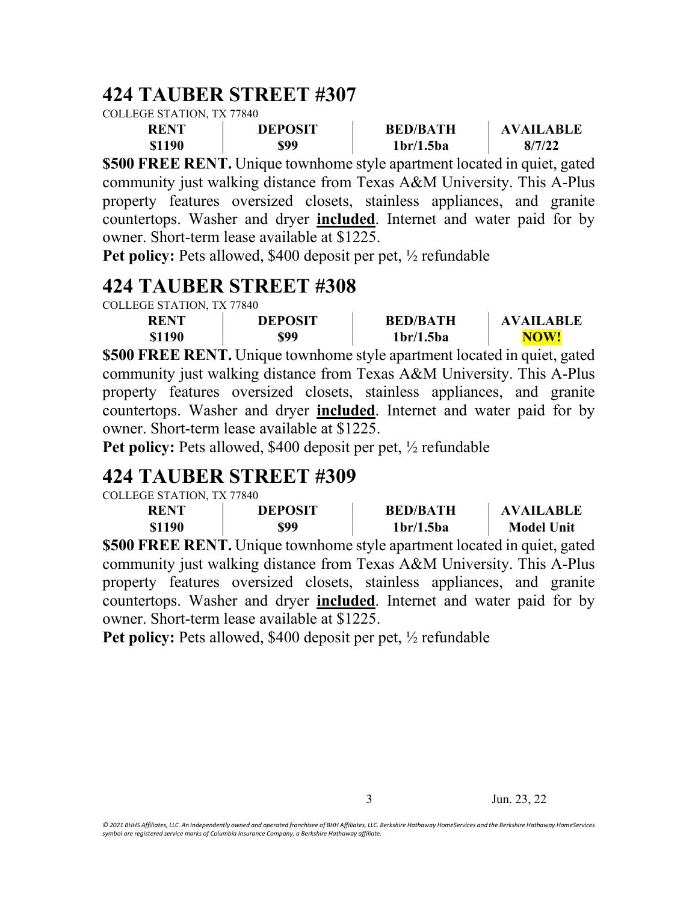#### **424 TAUBER STREET #307**

COLLEGE STATION, TX 77840

| <b>RENT</b> | <b>DEPOSIT</b> | <b>BED/BATH</b>                    | <b>AVAILABLE</b> |
|-------------|----------------|------------------------------------|------------------|
| \$1190      | \$99           | 1 <sub>br</sub> /1.5 <sub>ba</sub> | 8/7/22           |

**\$500 FREE RENT.** Unique townhome style apartment located in quiet, gated community just walking distance from Texas A&M University. This A-Plus property features oversized closets, stainless appliances, and granite countertops. Washer and dryer **included**. Internet and water paid for by owner. Short-term lease available at \$1225.

**Pet policy:** Pets allowed, \$400 deposit per pet, ½ refundable

#### **424 TAUBER STREET #308**

| COLLEGE STATION. TX 77840 |                |                                    |                  |
|---------------------------|----------------|------------------------------------|------------------|
| <b>RENT</b>               | <b>DEPOSIT</b> | <b>BED/BATH</b>                    | <b>AVAILABLE</b> |
| \$1190                    | \$99           | 1 <sub>br</sub> /1.5 <sub>ba</sub> | NOW!             |

**\$500 FREE RENT.** Unique townhome style apartment located in quiet, gated community just walking distance from Texas A&M University. This A-Plus property features oversized closets, stainless appliances, and granite countertops. Washer and dryer **included**. Internet and water paid for by owner. Short-term lease available at \$1225.

**Pet policy:** Pets allowed, \$400 deposit per pet, ½ refundable

### **424 TAUBER STREET #309**

| COLLEGE STATION. TX 77840 |                |                                    |                   |
|---------------------------|----------------|------------------------------------|-------------------|
| <b>RENT</b>               | <b>DEPOSIT</b> | <b>BED/BATH</b>                    | <b>AVAILABLE</b>  |
| \$1190                    | \$99           | 1 <sub>br</sub> /1.5 <sub>ba</sub> | <b>Model Unit</b> |

**\$500 FREE RENT.** Unique townhome style apartment located in quiet, gated community just walking distance from Texas A&M University. This A-Plus property features oversized closets, stainless appliances, and granite countertops. Washer and dryer **included**. Internet and water paid for by owner. Short-term lease available at \$1225.

**Pet policy:** Pets allowed, \$400 deposit per pet, ½ refundable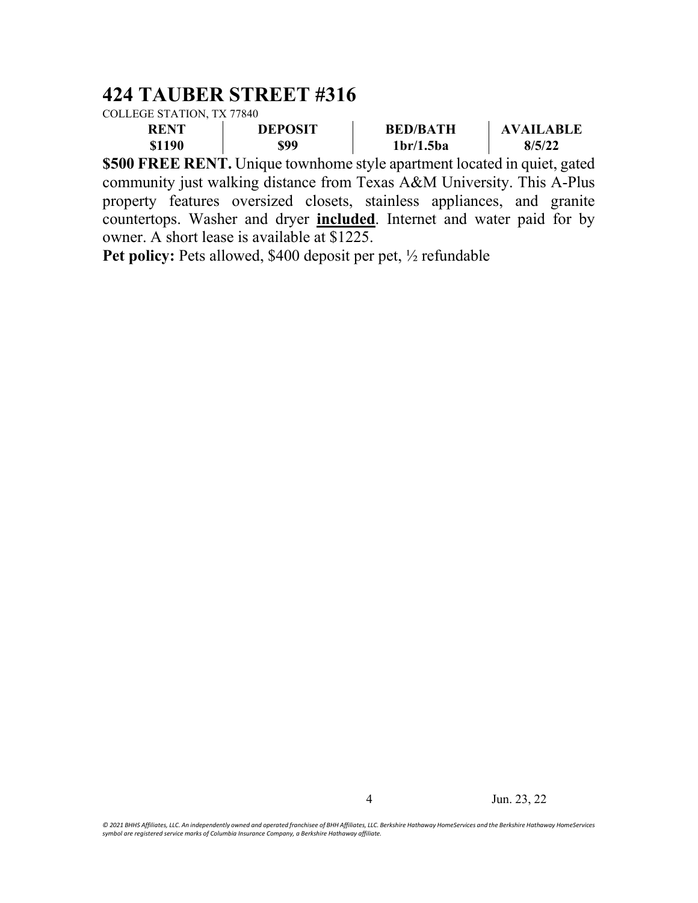### **424 TAUBER STREET #316**

| COLLEGE STATION, TX 77840 |  |
|---------------------------|--|
|                           |  |

| <b>RENT</b> | <b>DEPOSIT</b> | <b>BED/BATH</b>                    | <b>AVAILARLE</b> |
|-------------|----------------|------------------------------------|------------------|
| \$1190      | \$99           | 1 <sub>br</sub> /1.5 <sub>ba</sub> | 8/5/22           |

**\$500 FREE RENT.** Unique townhome style apartment located in quiet, gated community just walking distance from Texas A&M University. This A-Plus property features oversized closets, stainless appliances, and granite countertops. Washer and dryer **included**. Internet and water paid for by owner. A short lease is available at \$1225.

Pet policy: Pets allowed, \$400 deposit per pet,  $\frac{1}{2}$  refundable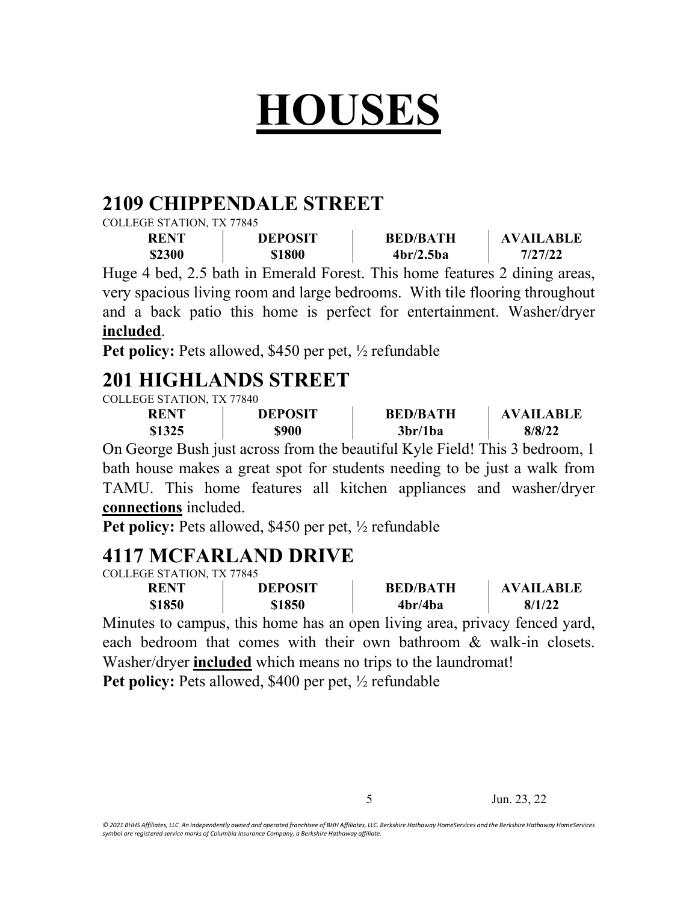## **HOUSES**

#### **2109 CHIPPENDALE STREET**

COLLEGE STATION, TX 77845

| <b>RENT</b> | <b>DEPOSIT</b> | <b>BED/BATH</b> | <b>AVAILABLE</b> |
|-------------|----------------|-----------------|------------------|
| \$2300      | \$1800         | 4br/2.5ba       | 7/27/22          |

Huge 4 bed, 2.5 bath in Emerald Forest. This home features 2 dining areas, very spacious living room and large bedrooms. With tile flooring throughout and a back patio this home is perfect for entertainment. Washer/dryer **included**.

**Pet policy:** Pets allowed, \$450 per pet, ½ refundable

#### **201 HIGHLANDS STREET**

COLLEGE STATION, TX 77840

| <b>RENT</b> | <b>DEPOSIT</b> | <b>BED/BATH</b>                  | <b>AVAILABLE</b> |
|-------------|----------------|----------------------------------|------------------|
| \$1325      | \$900          | 3 <sub>br</sub> /1 <sub>ba</sub> | 8/8/22           |

On George Bush just across from the beautiful Kyle Field! This 3 bedroom, 1 bath house makes a great spot for students needing to be just a walk from TAMU. This home features all kitchen appliances and washer/dryer **connections** included.

**Pet policy:** Pets allowed, \$450 per pet, ½ refundable

#### **4117 MCFARLAND DRIVE**

COLLEGE STATION, TX 77845

| <b>RENT</b> | <b>DEPOSIT</b> | <b>BED/BATH</b> | <b>AVAILABLE</b> |
|-------------|----------------|-----------------|------------------|
| \$1850      | \$1850         | 4br/4ba         | 8/1/22           |

Minutes to campus, this home has an open living area, privacy fenced yard, each bedroom that comes with their own bathroom & walk-in closets. Washer/dryer **included** which means no trips to the laundromat!

Pet policy: Pets allowed, \$400 per pet, 1/2 refundable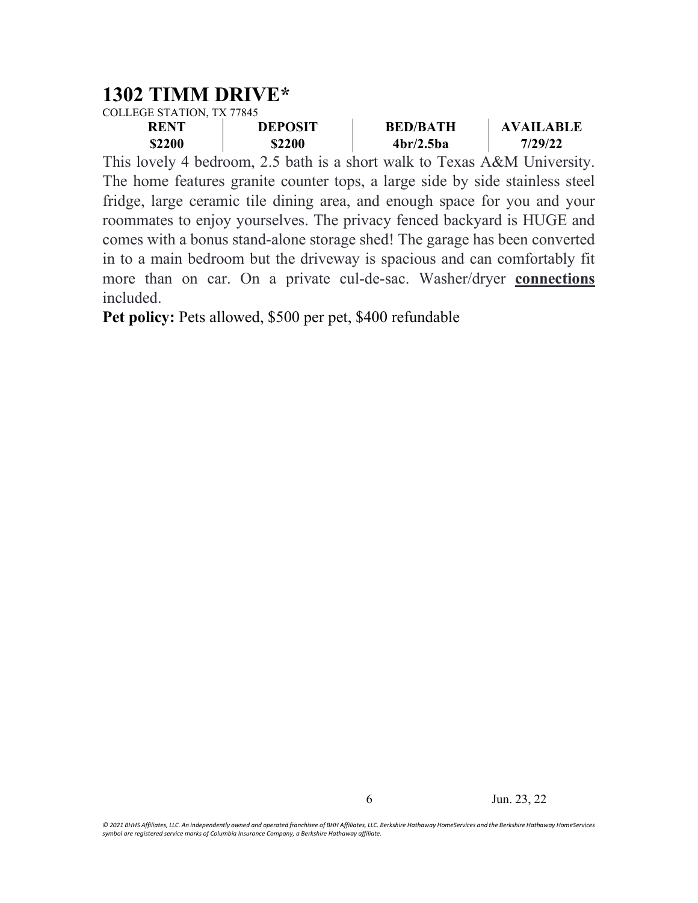#### **1302 TIMM DRIVE\***

COLLEGE STATION, TX 77845

| <b>RENT</b> | <b>DEPOSIT</b> | <b>BED/BATH</b> | <b>AVAILABLE</b> |
|-------------|----------------|-----------------|------------------|
| \$2200      | \$2200         | 4br/2.5ba       | 7/29/22          |

This lovely 4 bedroom, 2.5 bath is a short walk to Texas A&M University. The home features granite counter tops, a large side by side stainless steel fridge, large ceramic tile dining area, and enough space for you and your roommates to enjoy yourselves. The privacy fenced backyard is HUGE and comes with a bonus stand-alone storage shed! The garage has been converted in to a main bedroom but the driveway is spacious and can comfortably fit more than on car. On a private cul-de-sac. Washer/dryer **connections** included.

**Pet policy:** Pets allowed, \$500 per pet, \$400 refundable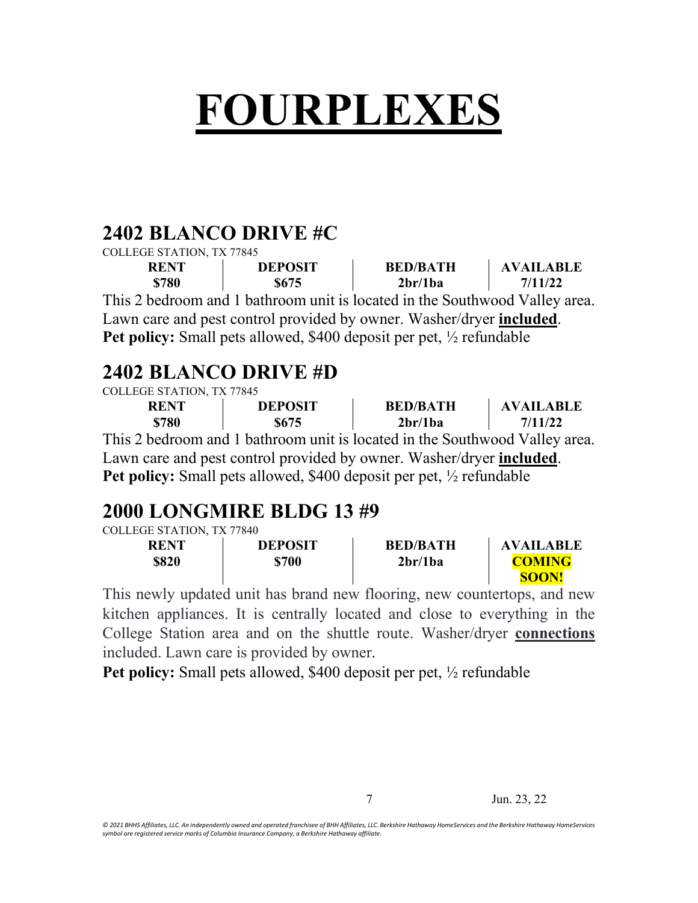# **FOURPLEXES**

#### **2402 BLANCO DRIVE #C**

| COLLEGE STATION, TX 77845 |                                                                             |                                  |                  |
|---------------------------|-----------------------------------------------------------------------------|----------------------------------|------------------|
| <b>RENT</b>               | <b>DEPOSIT</b>                                                              | <b>BED/BATH</b>                  | <b>AVAILABLE</b> |
| \$780                     | \$675                                                                       | 2 <sub>br</sub> /1 <sub>ba</sub> | 7/11/22          |
|                           | This 2 bedroom and 1 bathroom unit is located in the Southwood Valley area. |                                  |                  |
|                           | I our earn and nost control provided by owner Wesher/drygr included         |                                  |                  |

Lawn care and pest control provided by owner. Washer/dryer **included**. **Pet policy:** Small pets allowed, \$400 deposit per pet, ½ refundable

#### **2402 BLANCO DRIVE #D**

| COLLEGE STATION, TX 77845 |  |
|---------------------------|--|

| <b>RENT</b> | <b>DEPOSIT</b> | <b>BED/BATH</b>                                                                                                                                              | <b>AVAILABLE</b> |
|-------------|----------------|--------------------------------------------------------------------------------------------------------------------------------------------------------------|------------------|
| \$780       | <b>S675</b>    | 2 <sub>br</sub> /1 <sub>ba</sub>                                                                                                                             | 7/11/22          |
|             |                | $\mathbf{1}$ . The discussed on $\mathbf{1}$ to the set of the late of the disc $\mathbf{1}$ . $\mathbf{0}$ and $\mathbf{1}$ . The discussed of $\mathbf{1}$ |                  |

This 2 bedroom and 1 bathroom unit is located in the Southwood Valley area. Lawn care and pest control provided by owner. Washer/dryer **included**. **Pet policy:** Small pets allowed, \$400 deposit per pet, ½ refundable

### **2000 LONGMIRE BLDG 13 #9**

| COLLEGE STATION, TX 77840 |  |
|---------------------------|--|
|                           |  |

| <b>RENT</b> | <b>DEPOSIT</b> | <b>BED/BATH</b>                  | <b>AVAILABLE</b> |
|-------------|----------------|----------------------------------|------------------|
| \$820       | \$700          | 2 <sub>br</sub> /1 <sub>ba</sub> | <b>COMING</b>    |
|             |                |                                  | SOON!            |

This newly updated unit has brand new flooring, new countertops, and new kitchen appliances. It is centrally located and close to everything in the College Station area and on the shuttle route. Washer/dryer **connections** included. Lawn care is provided by owner.

**Pet policy:** Small pets allowed, \$400 deposit per pet, ½ refundable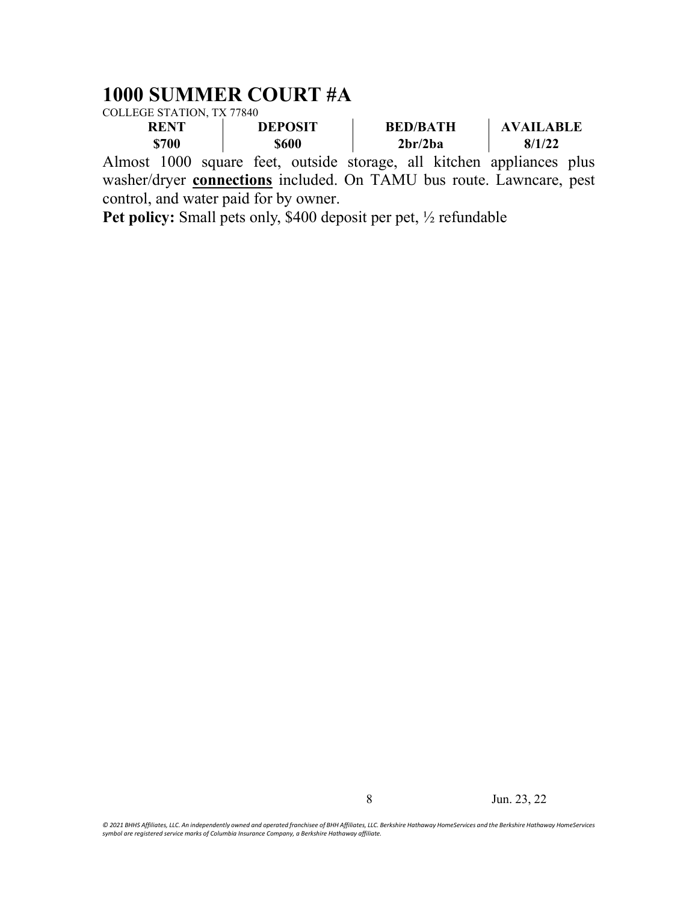#### **1000 SUMMER COURT #A**

COLLEGE STATION, TX 77840

| <b>RENT</b> |       | <b>DEPOSIT</b> |              | <b>BED/BATH</b> |                                  | <b>AVAILABLE</b> |                                                                       |  |
|-------------|-------|----------------|--------------|-----------------|----------------------------------|------------------|-----------------------------------------------------------------------|--|
|             | \$700 |                | <b>\$600</b> |                 | 2 <sub>br</sub> /2 <sub>ba</sub> |                  | 8/1/22                                                                |  |
|             |       |                |              |                 |                                  |                  | Almost 1000 square feet, outside storage, all kitchen appliances plus |  |

washer/dryer **connections** included. On TAMU bus route. Lawncare, pest control, and water paid for by owner.

**Pet policy:** Small pets only, \$400 deposit per pet, ½ refundable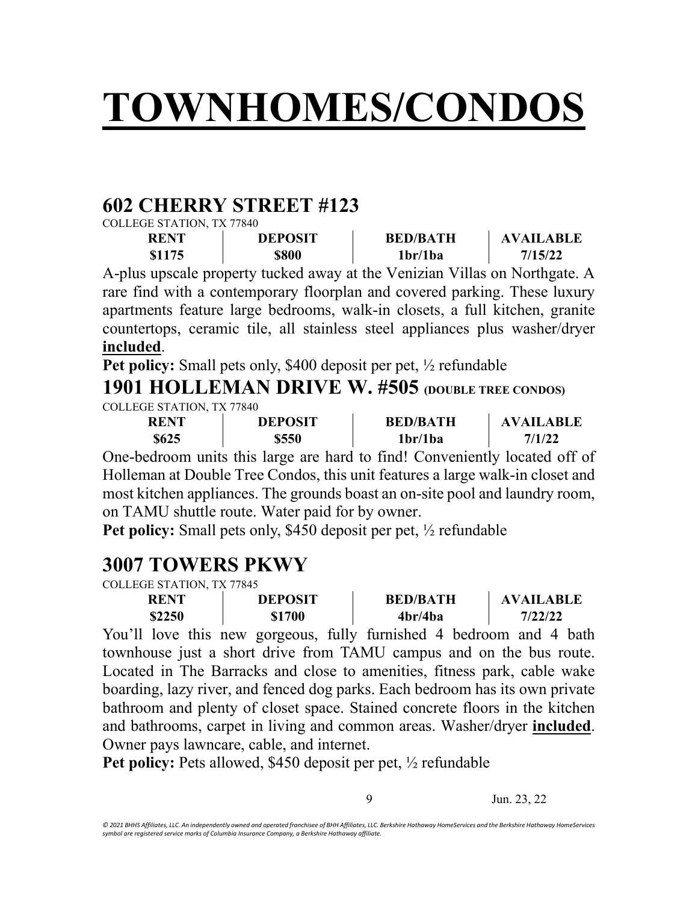## **TOWNHOMES/CONDOS**

#### **602 CHERRY STREET #123**

COLLEGE STATION, TX 77840

| <b>RENT</b> | <b>DEPOSIT</b> | <b>BED/BATH</b> | <b>AVAILABLE</b> |
|-------------|----------------|-----------------|------------------|
| \$1175      | \$800          | 1br/1ba         | 7/15/22          |

A-plus upscale property tucked away at the Venizian Villas on Northgate. A rare find with a contemporary floorplan and covered parking. These luxury apartments feature large bedrooms, walk-in closets, a full kitchen, granite countertops, ceramic tile, all stainless steel appliances plus washer/dryer **included**.

**Pet policy:** Small pets only, \$400 deposit per pet, ½ refundable

#### **1901 HOLLEMAN DRIVE W. #505 (DOUBLE TREE CONDOS)** COLLEGE STATION, TX 77840

| <b>RENT</b> | <b>DEPOSIT</b> | <b>BED/BATH</b> | <b>AVAILABLE</b> |
|-------------|----------------|-----------------|------------------|
| \$625       | \$550          | 1br/1ba         | 7/1/22           |

One-bedroom units this large are hard to find! Conveniently located off of Holleman at Double Tree Condos, this unit features a large walk-in closet and most kitchen appliances. The grounds boast an on-site pool and laundry room, on TAMU shuttle route. Water paid for by owner.

**Pet policy:** Small pets only, \$450 deposit per pet, ½ refundable

#### **3007 TOWERS PKWY**

COLLEGE STATION, TX 77845

| <b>RENT</b> | <b>DEPOSIT</b> | <b>BED/BATH</b> | <b>AVAILABLE</b> |
|-------------|----------------|-----------------|------------------|
| \$2250      | \$1700         | 4br/4ba         | 7/22/22          |
|             |                |                 |                  |

You'll love this new gorgeous, fully furnished 4 bedroom and 4 bath townhouse just a short drive from TAMU campus and on the bus route. Located in The Barracks and close to amenities, fitness park, cable wake boarding, lazy river, and fenced dog parks. Each bedroom has its own private bathroom and plenty of closet space. Stained concrete floors in the kitchen and bathrooms, carpet in living and common areas. Washer/dryer **included**. Owner pays lawncare, cable, and internet.

**Pet policy:** Pets allowed, \$450 deposit per pet, ½ refundable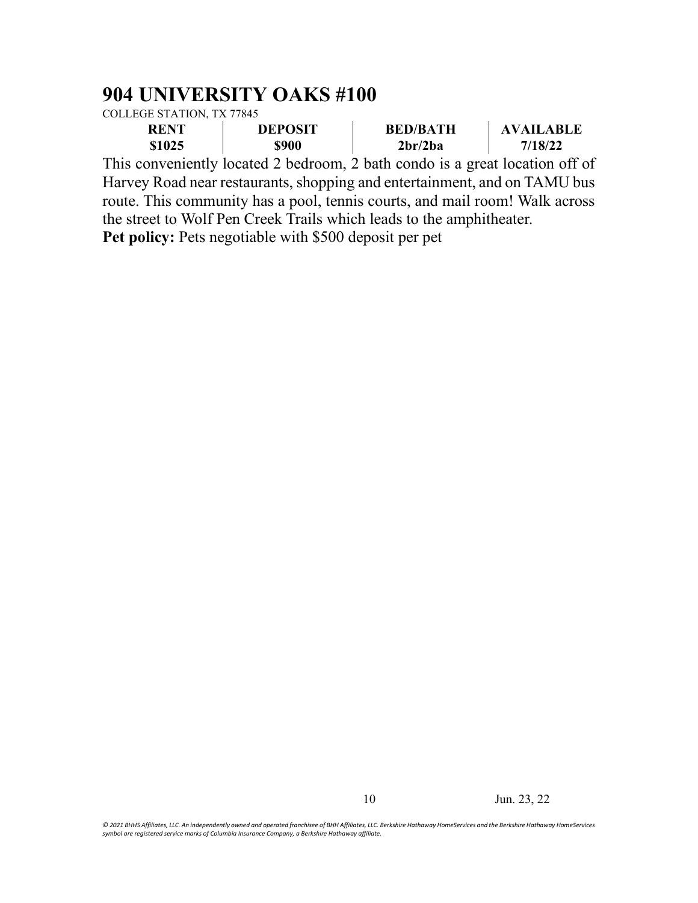#### **904 UNIVERSITY OAKS #100**

COLLEGE STATION, TX 77845

| <b>RENT</b>     |  | <b>DEPOSIT</b>                   | <b>BED/BATH</b> | <b>AVAILABLE</b> |
|-----------------|--|----------------------------------|-----------------|------------------|
| \$900<br>\$1025 |  | 2 <sub>br</sub> /2 <sub>ba</sub> | 7/18/22         |                  |
| . .             |  |                                  |                 | $\alpha$         |

This conveniently located 2 bedroom, 2 bath condo is a great location off of Harvey Road near restaurants, shopping and entertainment, and on TAMU bus route. This community has a pool, tennis courts, and mail room! Walk across the street to Wolf Pen Creek Trails which leads to the amphitheater. **Pet policy:** Pets negotiable with \$500 deposit per pet